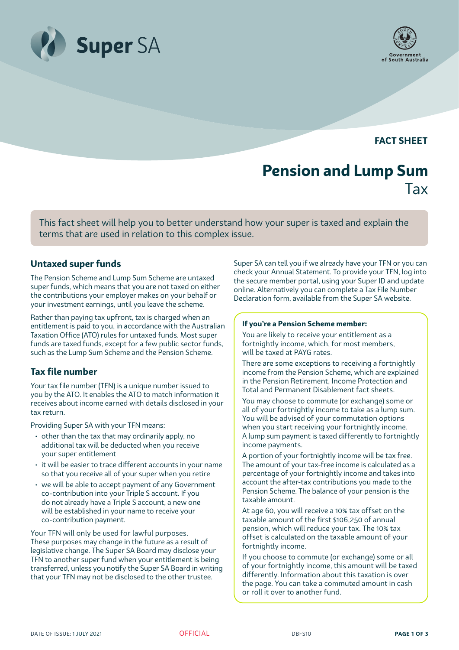



**FACT SHEET**

# **Pension and Lump Sum** Tax

This fact sheet will help you to better understand how your super is taxed and explain the terms that are used in relation to this complex issue.

# **Untaxed super funds**

The Pension Scheme and Lump Sum Scheme are untaxed super funds, which means that you are not taxed on either the contributions your employer makes on your behalf or your investment earnings, until you leave the scheme.

Rather than paying tax upfront, tax is charged when an entitlement is paid to you, in accordance with the Australian Taxation Office (ATO) rules for untaxed funds. Most super funds are taxed funds, except for a few public sector funds, such as the Lump Sum Scheme and the Pension Scheme.

# **Tax file number**

Your tax file number (TFN) is a unique number issued to you by the ATO. It enables the ATO to match information it receives about income earned with details disclosed in your tax return.

Providing Super SA with your TFN means:

- other than the tax that may ordinarily apply, no additional tax will be deducted when you receive your super entitlement
- it will be easier to trace different accounts in your name so that you receive all of your super when you retire
- we will be able to accept payment of any Government co-contribution into your Triple S account. If you do not already have a Triple S account, a new one will be established in your name to receive your co-contribution payment.

Your TFN will only be used for lawful purposes. These purposes may change in the future as a result of legislative change. The Super SA Board may disclose your TFN to another super fund when your entitlement is being transferred, unless you notify the Super SA Board in writing that your TFN may not be disclosed to the other trustee.

Super SA can tell you if we already have your TFN or you can check your Annual Statement. To provide your TFN, log into the secure member portal, using your Super ID and update online. Alternatively you can complete a Tax File Number Declaration form, available from the Super SA website.

#### **If you're a Pension Scheme member:**

You are likely to receive your entitlement as a fortnightly income, which, for most members, will be taxed at PAYG rates.

There are some exceptions to receiving a fortnightly income from the Pension Scheme, which are explained in the Pension Retirement, Income Protection and Total and Permanent Disablement fact sheets.

You may choose to commute (or exchange) some or all of your fortnightly income to take as a lump sum. You will be advised of your commutation options when you start receiving your fortnightly income. A lump sum payment is taxed differently to fortnightly income payments.

A portion of your fortnightly income will be tax free. The amount of your tax-free income is calculated as a percentage of your fortnightly income and takes into account the after-tax contributions you made to the Pension Scheme. The balance of your pension is the taxable amount.

At age 60, you will receive a 10% tax offset on the taxable amount of the first \$106,250 of annual pension, which will reduce your tax. The 10% tax offset is calculated on the taxable amount of your fortnightly income.

If you choose to commute (or exchange) some or all of your fortnightly income, this amount will be taxed differently. Information about this taxation is over the page. You can take a commuted amount in cash or roll it over to another fund.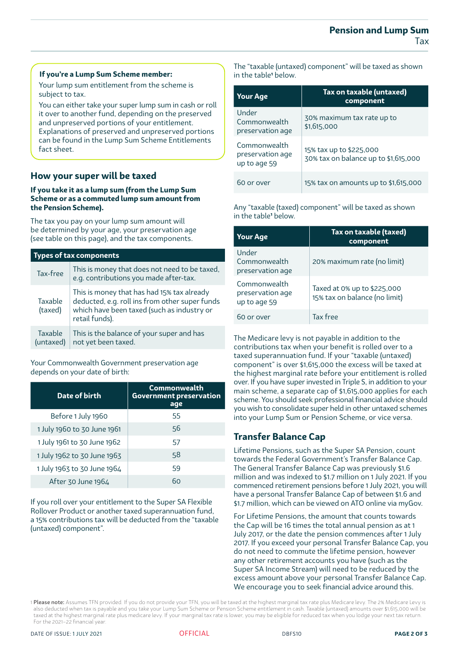#### **If you're a Lump Sum Scheme member:**

Your lump sum entitlement from the scheme is subject to tax.

You can either take your super lump sum in cash or roll it over to another fund, depending on the preserved and unpreserved portions of your entitlement. Explanations of preserved and unpreserved portions can be found in the Lump Sum Scheme Entitlements fact sheet.

# **How your super will be taxed**

#### **If you take it as a lump sum (from the Lump Sum Scheme or as a commuted lump sum amount from the Pension Scheme).**

The tax you pay on your lump sum amount will be determined by your age, your preservation age (see table on this page), and the tax components.

| <b>Types of tax components</b> |                                                                                                                                                              |  |  |  |
|--------------------------------|--------------------------------------------------------------------------------------------------------------------------------------------------------------|--|--|--|
| Tax-free                       | This is money that does not need to be taxed,<br>e.g. contributions you made after-tax.                                                                      |  |  |  |
| Taxable<br>(taxed)             | This is money that has had 15% tax already<br>deducted, e.g. roll ins from other super funds<br>which have been taxed (such as industry or<br>retail funds). |  |  |  |
| Taxable<br>(untaxed)           | This is the balance of your super and has<br>not yet been taxed.                                                                                             |  |  |  |

#### Your Commonwealth Government preservation age depends on your date of birth:

| Date of birth               | <b>Commonwealth</b><br><b>Government preservation</b><br>age |  |  |
|-----------------------------|--------------------------------------------------------------|--|--|
| Before 1 July 1960          | 55                                                           |  |  |
| 1 July 1960 to 30 June 1961 | 56                                                           |  |  |
| 1 July 1961 to 30 June 1962 | 57                                                           |  |  |
| 1 July 1962 to 30 June 1963 | 58                                                           |  |  |
| 1 July 1963 to 30 June 1964 | 59                                                           |  |  |
| After 30 June 1964          | ჩი                                                           |  |  |

If you roll over your entitlement to the Super SA Flexible Rollover Product or another taxed superannuation fund, a 15% contributions tax will be deducted from the "taxable (untaxed) component".

The "taxable (untaxed) component" will be taxed as shown in the table<sup>1</sup> below.

| <b>Your Age</b>                                  | Tax on taxable (untaxed)<br>component                           |  |  |
|--------------------------------------------------|-----------------------------------------------------------------|--|--|
| Under<br>Commonwealth<br>preservation age        | 30% maximum tax rate up to<br>\$1,615,000                       |  |  |
| Commonwealth<br>preservation age<br>up to age 59 | 15% tax up to \$225,000<br>30% tax on balance up to \$1,615,000 |  |  |
| 60 or over                                       | 15% tax on amounts up to \$1,615,000                            |  |  |

Any "taxable (taxed) component" will be taxed as shown in the table**'** below.

| <b>Your Age</b>                                  | Tax on taxable (taxed)<br>component                          |  |  |
|--------------------------------------------------|--------------------------------------------------------------|--|--|
| Under<br>Commonwealth<br>preservation age        | 20% maximum rate (no limit)                                  |  |  |
| Commonwealth<br>preservation age<br>up to age 59 | Taxed at 0% up to \$225,000<br>15% tax on balance (no limit) |  |  |
| 60 or over                                       | Tax free                                                     |  |  |

The Medicare levy is not payable in addition to the contributions tax when your benefit is rolled over to a taxed superannuation fund. If your "taxable (untaxed) component" is over \$1,615,000 the excess will be taxed at the highest marginal rate before your entitlement is rolled over. If you have super invested in Triple S, in addition to your main scheme, a separate cap of \$1,615,000 applies for each scheme. You should seek professional financial advice should you wish to consolidate super held in other untaxed schemes into your Lump Sum or Pension Scheme, or vice versa.

# **Transfer Balance Cap**

Lifetime Pensions, such as the Super SA Pension, count towards the Federal Government's Transfer Balance Cap. The General Transfer Balance Cap was previously \$1.6 million and was indexed to \$1.7 million on 1 July 2021. If you commenced retirement pensions before 1 July 2021, you will have a personal Transfer Balance Cap of between \$1.6 and \$1.7 million, which can be viewed on ATO online via myGov.

For Lifetime Pensions, the amount that counts towards the Cap will be 16 times the total annual pension as at 1 July 2017, or the date the pension commences after 1 July 2017. If you exceed your personal Transfer Balance Cap, you do not need to commute the lifetime pension, however any other retirement accounts you have (such as the Super SA Income Stream) will need to be reduced by the excess amount above your personal Transfer Balance Cap. We encourage you to seek financial advice around this.



<sup>1</sup> Please note: Assumes TFN provided. If you do not provide your TFN, you will be taxed at the highest marginal tax rate plus Medicare levy. The 2% Medicare Levy is also deducted when tax is payable and you take your Lump Sum Scheme or Pension Scheme entitlement in cash. Taxable (untaxed) amounts over \$1,615,000 will be taxed at the highest marginal rate plus medicare levy. If your marginal tax rate is lower, you may be eligible for reduced tax when you lodge your next tax return. For the 2021–22 financial year.